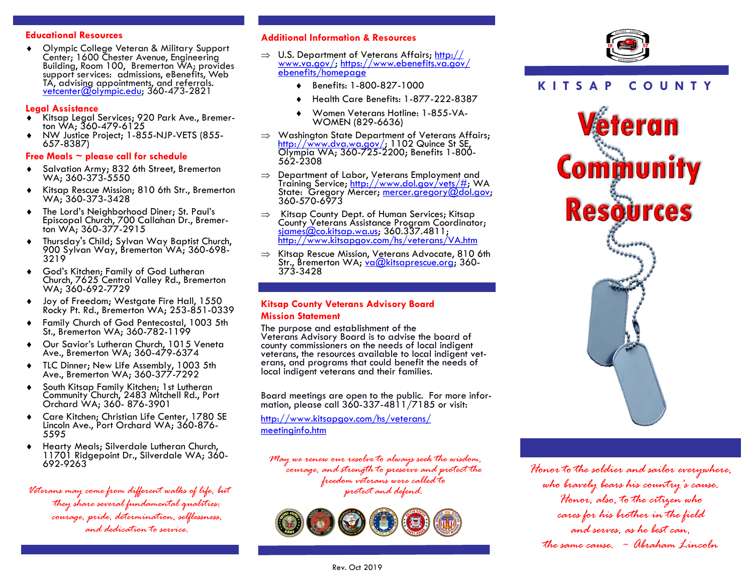# **Educational Resources**

 Olympic College Veteran & Military Support Center; 1600 Chester Avenue, Engineering Building, Room 100, Bremerton WA; provides support services: admissions, eBenefits, Web TA, advising appointments, and referrals. [vetcenter@olympic.edu;](mailto:vetcenter@olympic.edu) 360-473-2821

# **Legal Assistance**

- Kitsap Legal Services; 920 Park Ave., Bremerton WA; 360-479-6125
- NW Justice Project; 1-855-NJP-VETS (855- 657-8387)

# **Free Meals ~ please call for schedule**

- Salvation Army; 832 6th Street, Bremerton WA; 360-373-5550
- Kitsap Rescue Mission; 810 6th Str., Bremerton WA; 360-373-3428
- The Lord's Neighborhood Diner; St. Paul's Episcopal Church, 700 Callahan Dr., Bremerton WA; 360-377-2915
- Thursday's Child; Sylvan Way Baptist Church, 900 Sylvan Way, Bremerton WA; 360-698- 3219
- God's Kitchen; Family of God Lutheran Church, 7625 Central Valley Rd., Bremerton WA; 360-692-7729
- ◆ Joy of Freedom; Westgate Fire Hall, 1550 Rocky Pt. Rd., Bremerton WA; 253-851-0339
- Family Church of God Pentecostal, 1003 5th St., Bremerton WA; 360-782-1199
- Our Savior's Lutheran Church, 1015 Veneta Ave., Bremerton WA; 360-479-6374
- ◆ TLC Dinner; New Life Assembly, 1003 5th Ave., Bremerton WA; 360-377-7292
- South Kitsap Family Kitchen; 1st Lutheran Community Church, 2483 Mitchell Rd., Port Orchard WA; 360- 876-3901
- Care Kitchen; Christian Life Center, 1780 SE Lincoln Ave., Port Orchard WA; 360-876- 5595
- Hearty Meals; Silverdale Lutheran Church, 11701 Ridgepoint Dr., Silverdale WA; 360- 692-9263

*Veterans may come from different walks of life, but they share several fundamental qualities: courage, pride, determination, selflessness, and dedication to service.* 

## **Additional Information & Resources**

- $\Rightarrow$  U.S. Department of Veterans Affairs; [http://](http://www.va.gov/) [www.va.gov/;](http://www.va.gov/) [https://www.ebenefits.va.gov/](https://www.ebenefits.va.gov/ebenefits/homepage) [ebenefits/homepage](https://www.ebenefits.va.gov/ebenefits/homepage)
	- Benefits: 1-800-827-1000
	- Health Care Benefits: 1-877-222-8387
	- Women Veterans Hotline: 1-855-VA-WOMEN (829-6636)
- $\Rightarrow$  Washington State Department of Veterans Affairs; [http://www.dva.wa.gov/;](http://www.dva.wa.gov/) 1102 Quince St SE, Olympia WA; 360-725-2200; Benefits 1-800- 562-2308
- $\Rightarrow$  Department of Labor, Veterans Employment and Training Service; [http://www.dol.gov/vets/#;](http://www.dol.gov/vets/#) WA State: Gregory Mercer; mercer.gregory@dol.gov; 360-570-6973
- $\Rightarrow$  Kitsap County Dept. of Human Services; Kitsap County Veterans Assistance Program Coordinator; sjames@co.kitsap.wa.us; 360.337.4811; <http://www.kitsapgov.com/hs/veterans/VA.htm>
- $\Rightarrow$  Kitsap Rescue Mission, Veterans Advocate, 810 6th Str., Bremerton WA; va@kitsaprescue.org; 360-373-3428

# **Kitsap County Veterans Advisory Board**

# **Mission Statement**

The purpose and establishment of the Veterans Advisory Board is to advise the board of county commissioners on the needs of local indiaent veterans, the resources available to local indigent veterans, and programs that could benefit the needs of local indigent veterans and their families.

Board meetings are open to the public. For more information, please call 360-337-4811/7185 or visit:

[http://www.kitsapgov.com/hs/veterans/](http://www.kitsapgov.com/hs/veterans/meetinginfo.htm) [meetinginfo.htm](http://www.kitsapgov.com/hs/veterans/meetinginfo.htm)

*May we renew our resolve to always seek the wisdom, courage, and strength to preserve and protect the freedom veterans were called to protect and defend.* 





# **K I T S A P C O U N T Y**



*Honor to the soldier and sailor everywhere, who bravely bears his country's cause. Honor, also, to the citizen who cares for his brother in the field and serves, as he best can, the same cause. ~ Abraham Lincoln*